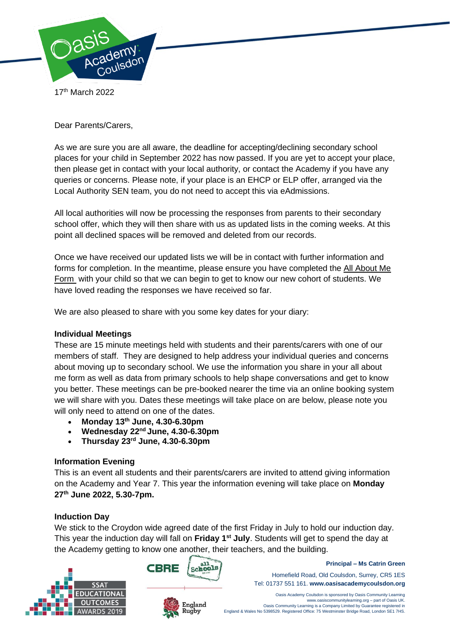

17th March 2022

Dear Parents/Carers,

As we are sure you are all aware, the deadline for accepting/declining secondary school places for your child in September 2022 has now passed. If you are yet to accept your place, then please get in contact with your local authority, or contact the Academy if you have any queries or concerns. Please note, if your place is an EHCP or ELP offer, arranged via the Local Authority SEN team, you do not need to accept this via eAdmissions.

All local authorities will now be processing the responses from parents to their secondary school offer, which they will then share with us as updated lists in the coming weeks. At this point all declined spaces will be removed and deleted from our records.

Once we have received our updated lists we will be in contact with further information and forms for completion. In the meantime, please ensure you have completed the [All About Me](https://forms.office.com/Pages/ResponsePage.aspx?id=zz3XjXy17EC3-HVbUS2fezTyDcvNToVBkopDS5A1ii1UQjlJVEc0VjBFNjJLRklQWkNTS1NLUlNEVy4u)  [Form](https://forms.office.com/Pages/ResponsePage.aspx?id=zz3XjXy17EC3-HVbUS2fezTyDcvNToVBkopDS5A1ii1UQjlJVEc0VjBFNjJLRklQWkNTS1NLUlNEVy4u) with your child so that we can begin to get to know our new cohort of students. We have loved reading the responses we have received so far.

We are also pleased to share with you some key dates for your diary:

## **Individual Meetings**

These are 15 minute meetings held with students and their parents/carers with one of our members of staff. They are designed to help address your individual queries and concerns about moving up to secondary school. We use the information you share in your all about me form as well as data from primary schools to help shape conversations and get to know you better. These meetings can be pre-booked nearer the time via an online booking system we will share with you. Dates these meetings will take place on are below, please note you will only need to attend on one of the dates.

- **Monday 13th June, 4.30-6.30pm**
- **Wednesday 22nd June, 4.30-6.30pm**
- **Thursday 23rd June, 4.30-6.30pm**

## **Information Evening**

This is an event all students and their parents/carers are invited to attend giving information on the Academy and Year 7. This year the information evening will take place on **Monday 27th June 2022, 5.30-7pm.**

## **Induction Day**

We stick to the Croydon wide agreed date of the first Friday in July to hold our induction day. This year the induction day will fall on **Friday 1st July**. Students will get to spend the day at the Academy getting to know one another, their teachers, and the building.





England Rugby



**Principal – Ms Catrin Green**

Tel: 01737 551 161. **www.oasisacademycoulsdon.org**